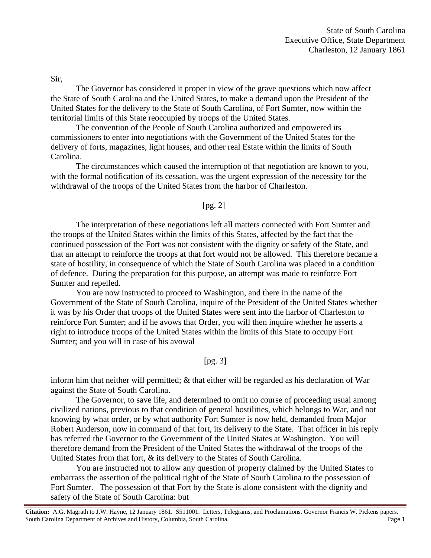Sir,

 The Governor has considered it proper in view of the grave questions which now affect the State of South Carolina and the United States, to make a demand upon the President of the United States for the delivery to the State of South Carolina, of Fort Sumter, now within the territorial limits of this State reoccupied by troops of the United States.

 The convention of the People of South Carolina authorized and empowered its commissioners to enter into negotiations with the Government of the United States for the delivery of forts, magazines, light houses, and other real Estate within the limits of South Carolina.

 The circumstances which caused the interruption of that negotiation are known to you, with the formal notification of its cessation, was the urgent expression of the necessity for the withdrawal of the troops of the United States from the harbor of Charleston.

[pg. 2]

The interpretation of these negotiations left all matters connected with Fort Sumter and the troops of the United States within the limits of this States, affected by the fact that the continued possession of the Fort was not consistent with the dignity or safety of the State, and that an attempt to reinforce the troops at that fort would not be allowed. This therefore became a state of hostility, in consequence of which the State of South Carolina was placed in a condition of defence. During the preparation for this purpose, an attempt was made to reinforce Fort Sumter and repelled.

 You are now instructed to proceed to Washington, and there in the name of the Government of the State of South Carolina, inquire of the President of the United States whether it was by his Order that troops of the United States were sent into the harbor of Charleston to reinforce Fort Sumter; and if he avows that Order, you will then inquire whether he asserts a right to introduce troops of the United States within the limits of this State to occupy Fort Sumter; and you will in case of his avowal

## [pg. 3]

inform him that neither will permitted; & that either will be regarded as his declaration of War against the State of South Carolina.

 The Governor, to save life, and determined to omit no course of proceeding usual among civilized nations, previous to that condition of general hostilities, which belongs to War, and not knowing by what order, or by what authority Fort Sumter is now held, demanded from Major Robert Anderson, now in command of that fort, its delivery to the State. That officer in his reply has referred the Governor to the Government of the United States at Washington. You will therefore demand from the President of the United States the withdrawal of the troops of the United States from that fort, & its delivery to the States of South Carolina.

 You are instructed not to allow any question of property claimed by the United States to embarrass the assertion of the political right of the State of South Carolina to the possession of Fort Sumter. The possession of that Fort by the State is alone consistent with the dignity and safety of the State of South Carolina: but

**Citation:** A.G. Magrath to J.W. Hayne, 12 January 1861. S511001. Letters, Telegrams, and Proclamations. Governor Francis W. Pickens papers. South Carolina Department of Archives and History, Columbia, South Carolina. Page 1